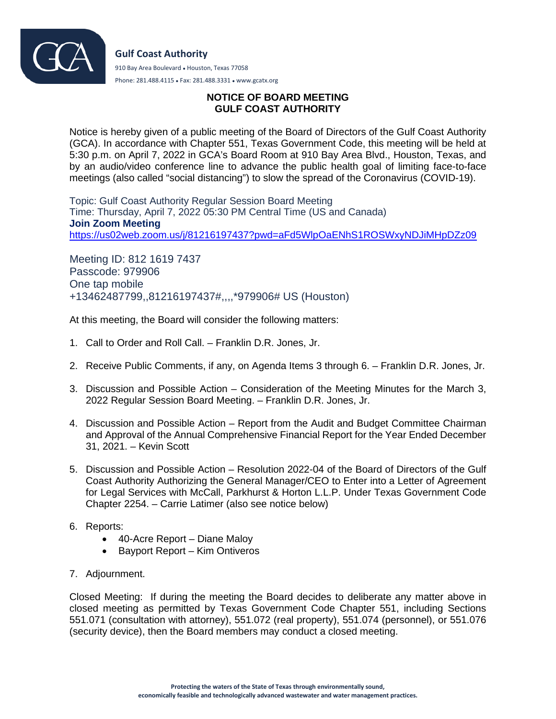

Phone: 281.488.4115 ● Fax: 281.488.3331 ● www.gcatx.org

## **NOTICE OF BOARD MEETING GULF COAST AUTHORITY**

Notice is hereby given of a public meeting of the Board of Directors of the Gulf Coast Authority (GCA). In accordance with Chapter 551, Texas Government Code, this meeting will be held at 5:30 p.m. on April 7, 2022 in GCA's Board Room at 910 Bay Area Blvd., Houston, Texas, and by an audio/video conference line to advance the public health goal of limiting face-to-face meetings (also called "social distancing") to slow the spread of the Coronavirus (COVID-19).

Topic: Gulf Coast Authority Regular Session Board Meeting Time: Thursday, April 7, 2022 05:30 PM Central Time (US and Canada) **Join Zoom Meeting** <https://us02web.zoom.us/j/81216197437?pwd=aFd5WlpOaENhS1ROSWxyNDJiMHpDZz09>

Meeting ID: 812 1619 7437 Passcode: 979906 One tap mobile +13462487799,,81216197437#,,,,\*979906# US (Houston)

At this meeting, the Board will consider the following matters:

- 1. Call to Order and Roll Call. Franklin D.R. Jones, Jr.
- 2. Receive Public Comments, if any, on Agenda Items 3 through 6. Franklin D.R. Jones, Jr.
- 3. Discussion and Possible Action Consideration of the Meeting Minutes for the March 3, 2022 Regular Session Board Meeting. – Franklin D.R. Jones, Jr.
- 4. Discussion and Possible Action Report from the Audit and Budget Committee Chairman and Approval of the Annual Comprehensive Financial Report for the Year Ended December 31, 2021. – Kevin Scott
- 5. Discussion and Possible Action Resolution 2022-04 of the Board of Directors of the Gulf Coast Authority Authorizing the General Manager/CEO to Enter into a Letter of Agreement for Legal Services with McCall, Parkhurst & Horton L.L.P. Under Texas Government Code Chapter 2254. – Carrie Latimer (also see notice below)
- 6. Reports:
	- 40-Acre Report Diane Maloy
	- Bayport Report Kim Ontiveros
- 7. Adjournment.

Closed Meeting: If during the meeting the Board decides to deliberate any matter above in closed meeting as permitted by Texas Government Code Chapter 551, including Sections 551.071 (consultation with attorney), 551.072 (real property), 551.074 (personnel), or 551.076 (security device), then the Board members may conduct a closed meeting.